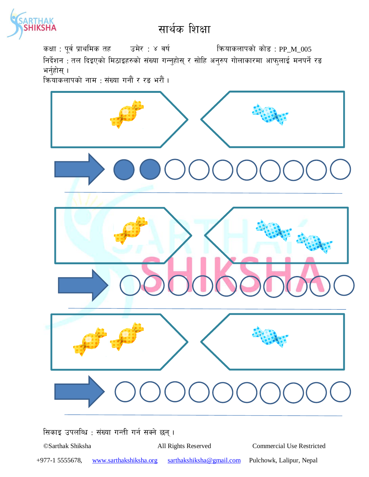

कक्षा : पूर्व प्राथमिक तह उमेर : ४ वर्ष कियाकलापको कोड : PP\_M\_005

निर्देशन : तल दिइएको मिठाइहरुको संख्या गन्नुहोस् र सोहि अनुरुप गोलाकारमा आफुलाई मनपर्ने रङ भर्नुहोस् $\,$ ।

 $\widetilde{\mathsf{A}}$ कयाकलापको नाम : संख्या गनौं र रङ भरौं ।



सिकाइ उपलब्धि : संख्या गन्ती गर्न सक्ने छन्।

©Sarthak Shiksha All Rights Reserved Commercial Use Restricted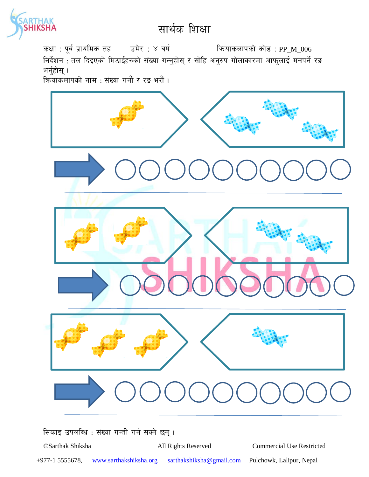

कक्षा : पूर्व प्राथमिक तह उमेर : ४ वर्ष कियाकलापको कोड : PP\_M\_006

निर्देशन : तल दिइएको मिठाईहरुको संख्या गन्नुहोस् र सोहि अनुरुप गोलाकारमा आफुलाई मनपर्ने रङ भर्नुहोस् $\,$ ।

 $\widetilde{\mathsf{A}}$ कयाकलापको नाम : संख्या गनौं र रङ भरौं ।



सिकाइ उपलब्धि : संख्या गन्ती गर्न सक्ने छन्।

©Sarthak Shiksha All Rights Reserved Commercial Use Restricted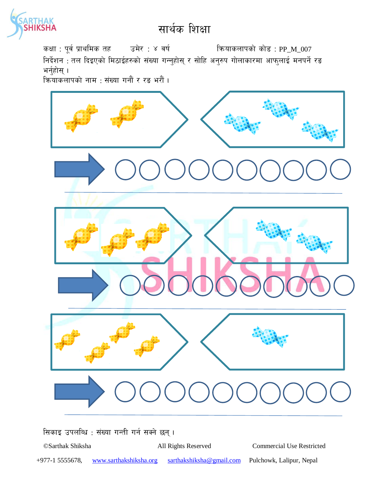

कक्षा : पूर्व प्राथमिक तह उमेर : ४ वर्ष कियाकलापको कोड : PP\_M\_007

निर्देशन : तल दिइएको मिठाईहरुको संख्या गन्नुहोस् र सोहि अनुरुप गोलाकारमा आफुलाई मनपर्ने रङ भर्नुहोस् $\,$ ।

 $\widetilde{\mathsf{A}}$ कयाकलापको नाम : संख्या गनौं र रङ भरौं ।



सिकाइ उपलब्धि : संख्या गन्ती गर्न सक्ने छन्।

©Sarthak Shiksha All Rights Reserved Commercial Use Restricted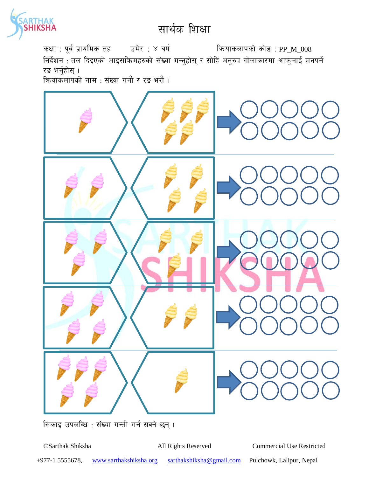

कक्षा : पूर्व प्राथमिक तह जिसे : ४ वर्ष स्वर्ग को को को स्रोड : PP\_M\_008 निर्देशन : तल दिइएको आइसक्रिमहरुको संख्या गन्नुहोस् र सोहि अनुरुप गोलाकारमा आफुलाई मनपर्ने रङ भर्नुहोस् । कियाकलापको नाम : संख्या गनौं र रङ भरौं ।



सिकाइ उपलब्धि : संख्या गन्ती गर्न सक्ने छन् ।

©Sarthak Shiksha All Rights Reserved Commercial Use Restricted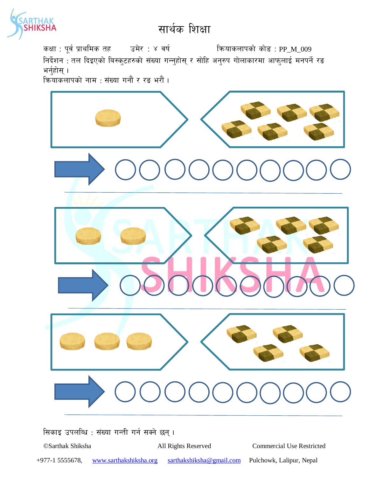

कक्षा : पूर्व प्राथमिक तह जिसे : ४ वर्ष कर्णा को को को सोड़ : PP\_M\_009 निर्देशन : तल दिइएको बिस्कुटहरुको संख्या गन्नुहोस् र सोहि अनुरुप गोलाकारमा आफुलाई मनपर्ने रङ भर्नुहोस् $\,$ ।

 $\widetilde{\mathsf{A}}$ कयाकलापको नाम : संख्या गनौं र रङ भरौं ।



सिकाइ उपलब्धि : संख्या गन्ती गर्न सक्ने छन्।

©Sarthak Shiksha All Rights Reserved Commercial Use Restricted